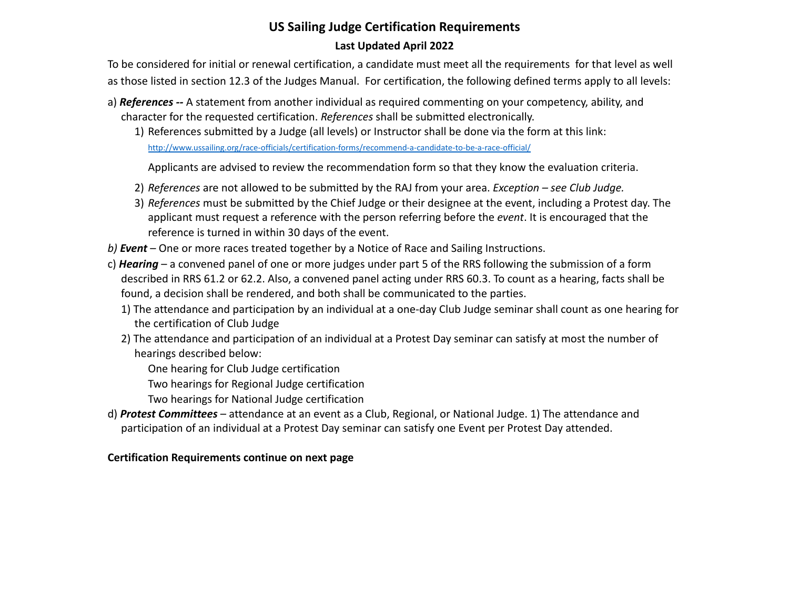## **US Sailing Judge Certification Requirements Last Updated April 2022**

To be considered for initial or renewal certification, a candidate must meet all the requirements for that level as well as those listed in section 12.3 of the Judges Manual. For certification, the following defined terms apply to all levels:

- a) *References --* A statement from another individual as required commenting on your competency, ability, and character for the requested certification. *References* shall be submitted electronically.
	- 1) References submitted by a Judge (all levels) or Instructor shall be done via the form at this link: http://www.ussailing.org/race-officials/certification-forms/recommend-a-candidate-to-be-a-race-official/

Applicants are advised to review the recommendation form so that they know the evaluation criteria.

- 2) *References* are not allowed to be submitted by the RAJ from your area. *Exception see Club Judge.*
- 3) *References* must be submitted by the Chief Judge or their designee at the event, including a Protest day. The applicant must request a reference with the person referring before the *event*. It is encouraged that the reference is turned in within 30 days of the event.
- *b) Event* One or more races treated together by a Notice of Race and Sailing Instructions.
- c) *Hearing* a convened panel of one or more judges under part 5 of the RRS following the submission of a form described in RRS 61.2 or 62.2. Also, a convened panel acting under RRS 60.3. To count as a hearing, facts shall be found, a decision shall be rendered, and both shall be communicated to the parties.
	- 1) The attendance and participation by an individual at a one-day Club Judge seminar shall count as one hearing for the certification of Club Judge
	- 2) The attendance and participation of an individual at a Protest Day seminar can satisfy at most the number of hearings described below:
		- One hearing for Club Judge certification
		- Two hearings for Regional Judge certification
		- Two hearings for National Judge certification
- d) *Protest Committees* attendance at an event as a Club, Regional, or National Judge. 1) The attendance and participation of an individual at a Protest Day seminar can satisfy one Event per Protest Day attended.

## **Certification Requirements continue on next page**